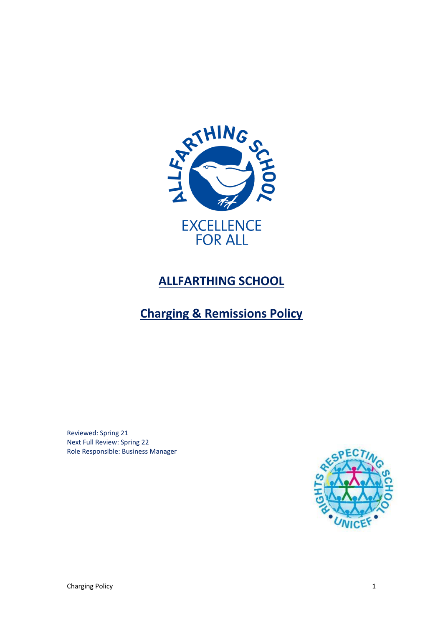

# **ALLFARTHING SCHOOL**

# **Charging & Remissions Policy**

Reviewed: Spring 21 Next Full Review: Spring 22 Role Responsible: Business Manager

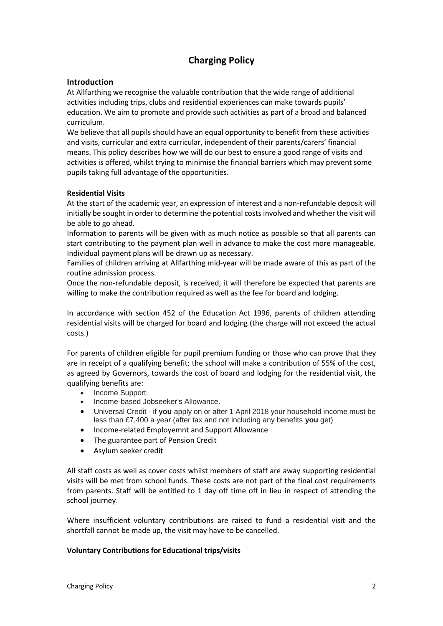# **Charging Policy**

## **Introduction**

At Allfarthing we recognise the valuable contribution that the wide range of additional activities including trips, clubs and residential experiences can make towards pupils' education. We aim to promote and provide such activities as part of a broad and balanced curriculum.

We believe that all pupils should have an equal opportunity to benefit from these activities and visits, curricular and extra curricular, independent of their parents/carers' financial means. This policy describes how we will do our best to ensure a good range of visits and activities is offered, whilst trying to minimise the financial barriers which may prevent some pupils taking full advantage of the opportunities.

#### **Residential Visits**

At the start of the academic year, an expression of interest and a non-refundable deposit will initially be sought in order to determine the potential costs involved and whether the visit will be able to go ahead.

Information to parents will be given with as much notice as possible so that all parents can start contributing to the payment plan well in advance to make the cost more manageable. Individual payment plans will be drawn up as necessary.

Families of children arriving at Allfarthing mid-year will be made aware of this as part of the routine admission process.

Once the non-refundable deposit, is received, it will therefore be expected that parents are willing to make the contribution required as well as the fee for board and lodging.

In accordance with section 452 of the Education Act 1996, parents of children attending residential visits will be charged for board and lodging (the charge will not exceed the actual costs.)

For parents of children eligible for pupil premium funding or those who can prove that they are in receipt of a qualifying benefit; the school will make a contribution of 55% of the cost, as agreed by Governors, towards the cost of board and lodging for the residential visit, the qualifying benefits are:

- Income Support.
- Income-based Jobseeker's Allowance.
- Universal Credit if **you** apply on or after 1 April 2018 your household income must be less than £7,400 a year (after tax and not including any benefits **you** get)
- Income-related Employemnt and Support Allowance
- The guarantee part of Pension Credit
- Asylum seeker credit

All staff costs as well as cover costs whilst members of staff are away supporting residential visits will be met from school funds. These costs are not part of the final cost requirements from parents. Staff will be entitled to 1 day off time off in lieu in respect of attending the school journey.

Where insufficient voluntary contributions are raised to fund a residential visit and the shortfall cannot be made up, the visit may have to be cancelled.

#### **Voluntary Contributions for Educational trips/visits**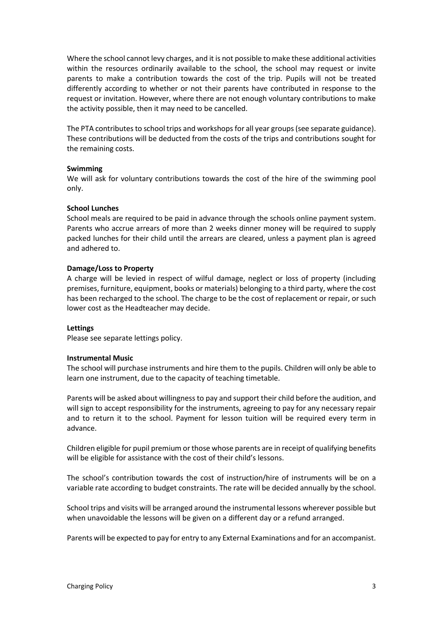Where the school cannot levy charges, and it is not possible to make these additional activities within the resources ordinarily available to the school, the school may request or invite parents to make a contribution towards the cost of the trip. Pupils will not be treated differently according to whether or not their parents have contributed in response to the request or invitation. However, where there are not enough voluntary contributions to make the activity possible, then it may need to be cancelled.

The PTA contributes to school trips and workshops for all year groups (see separate guidance). These contributions will be deducted from the costs of the trips and contributions sought for the remaining costs.

#### **Swimming**

We will ask for voluntary contributions towards the cost of the hire of the swimming pool only.

#### **School Lunches**

School meals are required to be paid in advance through the schools online payment system. Parents who accrue arrears of more than 2 weeks dinner money will be required to supply packed lunches for their child until the arrears are cleared, unless a payment plan is agreed and adhered to.

#### **Damage/Loss to Property**

A charge will be levied in respect of wilful damage, neglect or loss of property (including premises, furniture, equipment, books or materials) belonging to a third party, where the cost has been recharged to the school. The charge to be the cost of replacement or repair, or such lower cost as the Headteacher may decide.

#### **Lettings**

Please see separate lettings policy.

#### **Instrumental Music**

The school will purchase instruments and hire them to the pupils. Children will only be able to learn one instrument, due to the capacity of teaching timetable.

Parents will be asked about willingness to pay and support their child before the audition, and will sign to accept responsibility for the instruments, agreeing to pay for any necessary repair and to return it to the school. Payment for lesson tuition will be required every term in advance.

Children eligible for pupil premium or those whose parents are in receipt of qualifying benefits will be eligible for assistance with the cost of their child's lessons.

The school's contribution towards the cost of instruction/hire of instruments will be on a variable rate according to budget constraints. The rate will be decided annually by the school.

School trips and visits will be arranged around the instrumental lessons wherever possible but when unavoidable the lessons will be given on a different day or a refund arranged.

Parents will be expected to pay for entry to any External Examinations and for an accompanist.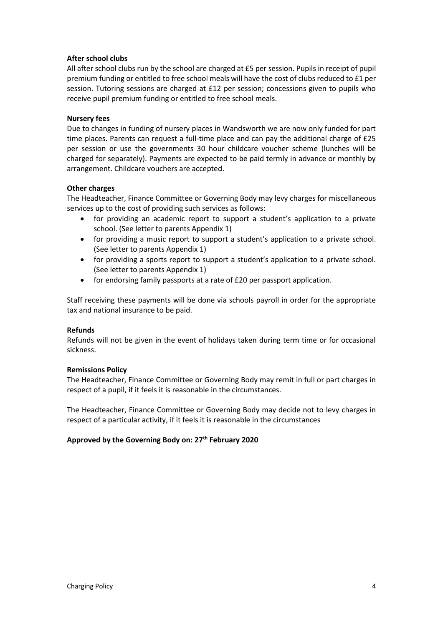### **After school clubs**

All after school clubs run by the school are charged at £5 per session. Pupils in receipt of pupil premium funding or entitled to free school meals will have the cost of clubs reduced to £1 per session. Tutoring sessions are charged at £12 per session; concessions given to pupils who receive pupil premium funding or entitled to free school meals.

### **Nursery fees**

Due to changes in funding of nursery places in Wandsworth we are now only funded for part time places. Parents can request a full-time place and can pay the additional charge of £25 per session or use the governments 30 hour childcare voucher scheme (lunches will be charged for separately). Payments are expected to be paid termly in advance or monthly by arrangement. Childcare vouchers are accepted.

### **Other charges**

The Headteacher, Finance Committee or Governing Body may levy charges for miscellaneous services up to the cost of providing such services as follows:

- for providing an academic report to support a student's application to a private school. (See letter to parents Appendix 1)
- for providing a music report to support a student's application to a private school. (See letter to parents Appendix 1)
- for providing a sports report to support a student's application to a private school. (See letter to parents Appendix 1)
- for endorsing family passports at a rate of £20 per passport application.

Staff receiving these payments will be done via schools payroll in order for the appropriate tax and national insurance to be paid.

#### **Refunds**

Refunds will not be given in the event of holidays taken during term time or for occasional sickness.

#### **Remissions Policy**

The Headteacher, Finance Committee or Governing Body may remit in full or part charges in respect of a pupil, if it feels it is reasonable in the circumstances.

The Headteacher, Finance Committee or Governing Body may decide not to levy charges in respect of a particular activity, if it feels it is reasonable in the circumstances

## **Approved by the Governing Body on: 27th February 2020**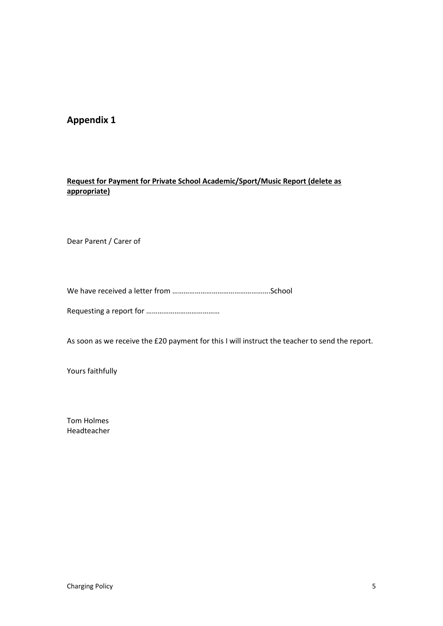# **Appendix 1**

# **Request for Payment for Private School Academic/Sport/Music Report (delete as appropriate)**

Dear Parent / Carer of

We have received a letter from …………………………………………….School

Requesting a report for …………………………………

As soon as we receive the £20 payment for this I will instruct the teacher to send the report.

Yours faithfully

Tom Holmes Headteacher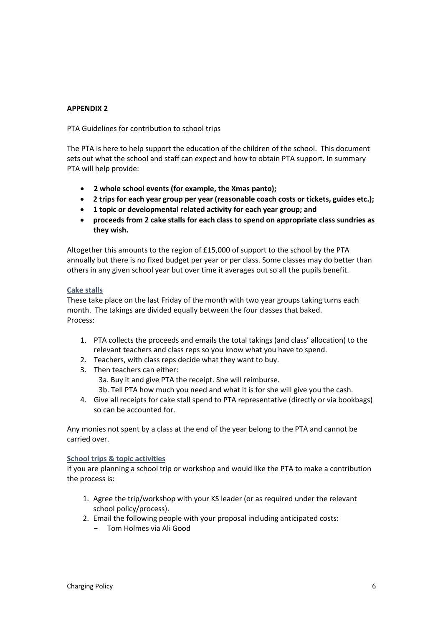### **APPENDIX 2**

PTA Guidelines for contribution to school trips

The PTA is here to help support the education of the children of the school. This document sets out what the school and staff can expect and how to obtain PTA support. In summary PTA will help provide:

- **2 whole school events (for example, the Xmas panto);**
- **2 trips for each year group per year (reasonable coach costs or tickets, guides etc.);**
- **1 topic or developmental related activity for each year group; and**
- **proceeds from 2 cake stalls for each class to spend on appropriate class sundries as they wish.**

Altogether this amounts to the region of £15,000 of support to the school by the PTA annually but there is no fixed budget per year or per class. Some classes may do better than others in any given school year but over time it averages out so all the pupils benefit.

#### **Cake stalls**

These take place on the last Friday of the month with two year groups taking turns each month. The takings are divided equally between the four classes that baked. Process:

- 1. PTA collects the proceeds and emails the total takings (and class' allocation) to the relevant teachers and class reps so you know what you have to spend.
- 2. Teachers, with class reps decide what they want to buy.
- 3. Then teachers can either:
	- 3a. Buy it and give PTA the receipt. She will reimburse.

3b. Tell PTA how much you need and what it is for she will give you the cash.

4. Give all receipts for cake stall spend to PTA representative (directly or via bookbags) so can be accounted for.

Any monies not spent by a class at the end of the year belong to the PTA and cannot be carried over.

#### **School trips & topic activities**

If you are planning a school trip or workshop and would like the PTA to make a contribution the process is:

- 1. Agree the trip/workshop with your KS leader (or as required under the relevant school policy/process).
- 2. Email the following people with your proposal including anticipated costs:
	- − Tom Holmes via Ali Good